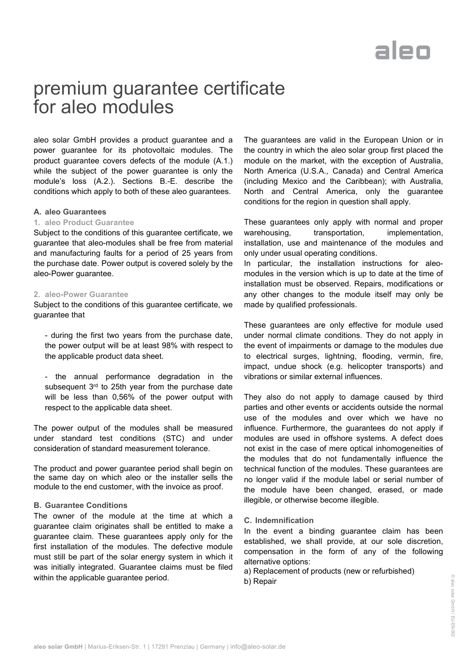# aleo

### premium guarantee certificate for aleo modules

aleo solar GmbH provides a product guarantee and a power guarantee for its photovoltaic modules. The product guarantee covers defects of the module (A.1.) while the subject of the power guarantee is only the module's loss (A.2.). Sections B.-E. describe the conditions which apply to both of these aleo guarantees.

#### **A. aleo Guarantees**

#### **1. aleo Product Guarantee**

Subject to the conditions of this guarantee certificate, we guarantee that aleo-modules shall be free from material and manufacturing faults for a period of 25 years from the purchase date. Power output is covered solely by the aleo-Power guarantee.

#### **2. aleo-Power Guarantee**

Subject to the conditions of this guarantee certificate, we guarantee that

- during the first two years from the purchase date, the power output will be at least 98% with respect to the applicable product data sheet.

- the annual performance degradation in the subsequent 3<sup>rd</sup> to 25th year from the purchase date will be less than 0,56% of the power output with respect to the applicable data sheet.

The power output of the modules shall be measured under standard test conditions (STC) and under consideration of standard measurement tolerance.

The product and power guarantee period shall begin on the same day on which aleo or the installer sells the module to the end customer, with the invoice as proof.

#### **B. Guarantee Conditions**

The owner of the module at the time at which a guarantee claim originates shall be entitled to make a guarantee claim. These guarantees apply only for the first installation of the modules. The defective module must still be part of the solar energy system in which it was initially integrated. Guarantee claims must be filed within the applicable guarantee period.

The guarantees are valid in the European Union or in the country in which the aleo solar group first placed the module on the market, with the exception of Australia, North America (U.S.A., Canada) and Central America (including Mexico and the Caribbean); with Australia, North and Central America, only the guarantee conditions for the region in question shall apply.

These guarantees only apply with normal and proper warehousing, transportation, implementation, installation, use and maintenance of the modules and only under usual operating conditions.

In particular, the installation instructions for aleomodules in the version which is up to date at the time of installation must be observed. Repairs, modifications or any other changes to the module itself may only be made by qualified professionals.

These guarantees are only effective for module used under normal climate conditions. They do not apply in the event of impairments or damage to the modules due to electrical surges, lightning, flooding, vermin, fire, impact, undue shock (e.g. helicopter transports) and vibrations or similar external influences.

They also do not apply to damage caused by third parties and other events or accidents outside the normal use of the modules and over which we have no influence. Furthermore, the guarantees do not apply if modules are used in offshore systems. A defect does not exist in the case of mere optical inhomogeneities of the modules that do not fundamentally influence the technical function of the modules. These guarantees are no longer valid if the module label or serial number of the module have been changed, erased, or made illegible, or otherwise become illegible.

#### **C. Indemnification**

In the event a binding guarantee claim has been established, we shall provide, at our sole discretion, compensation in the form of any of the following alternative options:

a) Replacement of products (new or refurbished) b) Repair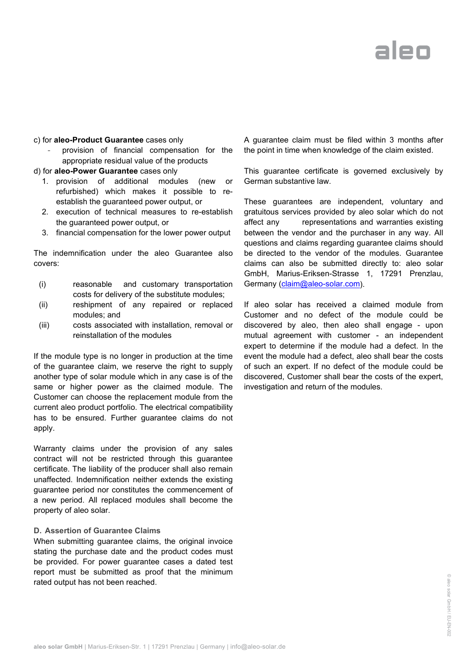# aleo

#### c) for **aleo-Product Guarantee** cases only

- provision of financial compensation for the appropriate residual value of the products
- d) for **aleo-Power Guarantee** cases only
	- 1. provision of additional modules (new or refurbished) which makes it possible to reestablish the guaranteed power output, or
	- 2. execution of technical measures to re-establish the guaranteed power output, or
	- 3. financial compensation for the lower power output

The indemnification under the aleo Guarantee also covers:

- (i) reasonable and customary transportation costs for delivery of the substitute modules;
- (ii) reshipment of any repaired or replaced modules; and
- (iii) costs associated with installation, removal or reinstallation of the modules

If the module type is no longer in production at the time of the guarantee claim, we reserve the right to supply another type of solar module which in any case is of the same or higher power as the claimed module. The Customer can choose the replacement module from the current aleo product portfolio. The electrical compatibility has to be ensured. Further guarantee claims do not apply.

Warranty claims under the provision of any sales contract will not be restricted through this guarantee certificate. The liability of the producer shall also remain unaffected. Indemnification neither extends the existing guarantee period nor constitutes the commencement of a new period. All replaced modules shall become the property of aleo solar.

#### **D. Assertion of Guarantee Claims**

When submitting guarantee claims, the original invoice stating the purchase date and the product codes must be provided. For power guarantee cases a dated test report must be submitted as proof that the minimum rated output has not been reached.

A guarantee claim must be filed within 3 months after the point in time when knowledge of the claim existed.

This guarantee certificate is governed exclusively by German substantive law.

These guarantees are independent, voluntary and gratuitous services provided by aleo solar which do not affect any representations and warranties existing between the vendor and the purchaser in any way. All questions and claims regarding guarantee claims should be directed to the vendor of the modules. Guarantee claims can also be submitted directly to: aleo solar GmbH, Marius-Eriksen-Strasse 1, 17291 Prenzlau, Germany [\(claim@aleo-solar.com\)](mailto:claim@aleo-solar.com).

If aleo solar has received a claimed module from Customer and no defect of the module could be discovered by aleo, then aleo shall engage - upon mutual agreement with customer - an independent expert to determine if the module had a defect. In the event the module had a defect, aleo shall bear the costs of such an expert. If no defect of the module could be discovered, Customer shall bear the costs of the expert, investigation and return of the modules.